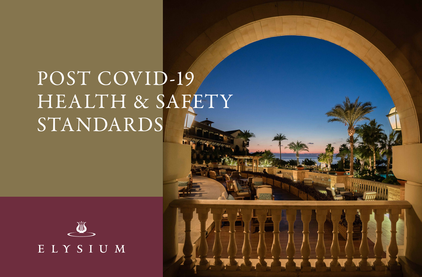## POST COVID-19 HEALTH & SAFETY STANDARDS



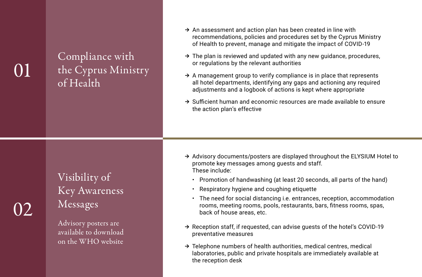02

Compliance with the Cyprus Ministry of Health

- $\rightarrow$  An assessment and action plan has been created in line with recommendations, policies and procedures set by the Cyprus Ministry of Health to prevent, manage and mitigate the impact of COVID-19
- $\rightarrow$  The plan is reviewed and updated with any new quidance, procedures, or regulations by the relevant authorities
- $\rightarrow$  A management group to verify compliance is in place that represents all hotel departments, identifying any gaps and actioning any required adjustments and a logbook of actions is kept where appropriate
- ➔ Sufficient human and economic resources are made available to ensure the action plan's effective

### Visibility of Key Awareness Messages

Advisory posters are available to download on the WHO website

- ➔ Advisory documents/posters are displayed throughout the ELYSIUM Hotel to promote key messages among guests and staff. These include:
	- Promotion of handwashing (at least 20 seconds, all parts of the hand)
	- Respiratory hygiene and coughing etiquette
	- The need for social distancing i.e. entrances, reception, accommodation rooms, meeting rooms, pools, restaurants, bars, fitness rooms, spas, back of house areas, etc.
- ➔ Reception staff, if requested, can advise guests of the hotel's COVID-19 preventative measures
- ➔ Telephone numbers of health authorities, medical centres, medical laboratories, public and private hospitals are immediately available at the reception desk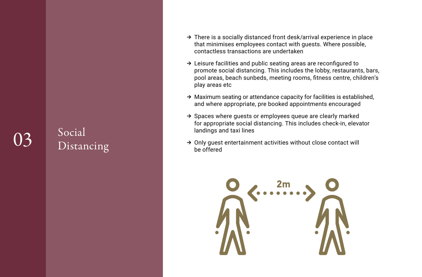# 03 Social Distancing

- ➔ There is a socially distanced front desk/arrival experience in place that minimises employees contact with guests. Where possible, contactless transactions are undertaken
- ➔ Leisure facilities and public seating areas are reconfigured to promote social distancing. This includes the lobby, restaurants, bars, pool areas, beach sunbeds, meeting rooms, fitness centre, children's play areas etc
- ➔ Maximum seating or attendance capacity for facilities is established, and where appropriate, pre booked appointments encouraged
- ➔ Spaces where guests or employees queue are clearly marked for appropriate social distancing. This includes check-in, elevator landings and taxi lines
- → Only guest entertainment activities without close contact will be offered

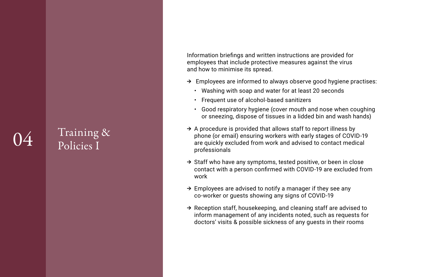### Training & Policies I

Information briefings and written instructions are provided for employees that include protective measures against the virus and how to minimise its spread.

- $\rightarrow$  Employees are informed to always observe good hygiene practises:
	- Washing with soap and water for at least 20 seconds
	- Frequent use of alcohol-based sanitizers
	- Good respiratory hygiene (cover mouth and nose when coughing or sneezing, dispose of tissues in a lidded bin and wash hands)
- $\rightarrow$  A procedure is provided that allows staff to report illness by phone (or email) ensuring workers with early stages of COVID-19 are quickly excluded from work and advised to contact medical professionals
- ➔ Staff who have any symptoms, tested positive, or been in close contact with a person confirmed with COVID-19 are excluded from work
- $\rightarrow$  Employees are advised to notify a manager if they see any co-worker or guests showing any signs of COVID-19
- → Reception staff, housekeeping, and cleaning staff are advised to inform management of any incidents noted, such as requests for doctors' visits & possible sickness of any guests in their rooms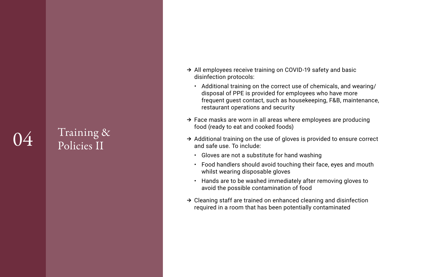### Training & Policies II

- → All employees receive training on COVID-19 safety and basic disinfection protocols:
	- Additional training on the correct use of chemicals, and wearing/ disposal of PPE is provided for employees who have more frequent guest contact, such as housekeeping, F&B, maintenance, restaurant operations and security
- $\rightarrow$  Face masks are worn in all areas where employees are producing food (ready to eat and cooked foods)
- ➔ Additional training on the use of gloves is provided to ensure correct and safe use. To include:
	- Gloves are not a substitute for hand washing
	- Food handlers should avoid touching their face, eyes and mouth whilst wearing disposable gloves
	- Hands are to be washed immediately after removing gloves to avoid the possible contamination of food
- ➔ Cleaning staff are trained on enhanced cleaning and disinfection required in a room that has been potentially contaminated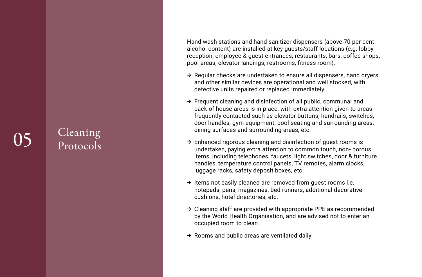#### Cleaning Protocols

Hand wash stations and hand sanitizer dispensers (above 70 per cent alcohol content) are installed at key guests/staff locations (e.g. lobby reception, employee & guest entrances, restaurants, bars, coffee shops, pool areas, elevator landings, restrooms, fitness room).

- $\rightarrow$  Regular checks are undertaken to ensure all dispensers, hand dryers and other similar devices are operational and well stocked, with defective units repaired or replaced immediately
- ➔ Frequent cleaning and disinfection of all public, communal and back of house areas is in place, with extra attention given to areas frequently contacted such as elevator buttons, handrails, switches, door handles, gym equipment, pool seating and surrounding areas, dining surfaces and surrounding areas, etc.
- ➔ Enhanced rigorous cleaning and disinfection of guest rooms is undertaken, paying extra attention to common touch, non- porous items, including telephones, faucets, light switches, door & furniture handles, temperature control panels, TV remotes, alarm clocks, luggage racks, safety deposit boxes, etc.
- ➔ Items not easily cleaned are removed from guest rooms i.e. notepads, pens, magazines, bed runners, additional decorative cushions, hotel directories, etc.
- ➔ Cleaning staff are provided with appropriate PPE as recommended by the World Health Organisation, and are advised not to enter an occupied room to clean
- $\rightarrow$  Rooms and public areas are ventilated daily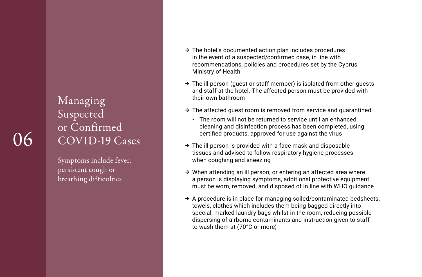#### Managing Suspected or Confirmed COVID-19 Cases

Symptoms include fever, persistent cough or breathing difficulties

- $\rightarrow$  The hotel's documented action plan includes procedures in the event of a suspected/confirmed case, in line with recommendations, policies and procedures set by the Cyprus Ministry of Health
- $\rightarrow$  The ill person (quest or staff member) is isolated from other quests and staff at the hotel. The affected person must be provided with their own bathroom
- $\rightarrow$  The affected quest room is removed from service and quarantined:
	- The room will not be returned to service until an enhanced cleaning and disinfection process has been completed, using certified products, approved for use against the virus
- $\rightarrow$  The ill person is provided with a face mask and disposable tissues and advised to follow respiratory hygiene processes when coughing and sneezing
- $\rightarrow$  When attending an ill person, or entering an affected area where a person is displaying symptoms, additional protective equipment must be worn, removed, and disposed of in line with WHO guidance
- $\rightarrow$  A procedure is in place for managing soiled/contaminated bedsheets, towels, clothes which includes them being bagged directly into special, marked laundry bags whilst in the room, reducing possible dispersing of airborne contaminants and instruction given to staff to wash them at (70°C or more)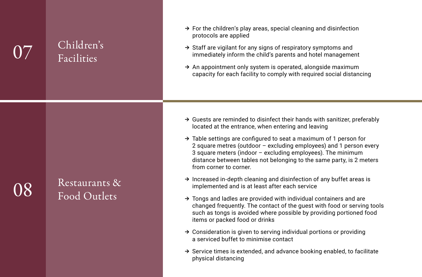### Children's Facilities

- $\rightarrow$  For the children's play areas, special cleaning and disinfection protocols are applied
- ➔ Staff are vigilant for any signs of respiratory symptoms and immediately inform the child's parents and hotel management
- $\rightarrow$  An appointment only system is operated, alongside maximum capacity for each facility to comply with required social distancing

- $\rightarrow$  Guests are reminded to disinfect their hands with sanitizer, preferably located at the entrance, when entering and leaving
- $\rightarrow$  Table settings are configured to seat a maximum of 1 person for 2 square metres (outdoor – excluding employees) and 1 person every 3 square meters (indoor – excluding employees). The minimum distance between tables not belonging to the same party, is 2 meters from corner to corner.
- ➔ Increased in-depth cleaning and disinfection of any buffet areas is implemented and is at least after each service
- $\rightarrow$  Tongs and ladles are provided with individual containers and are changed frequently. The contact of the guest with food or serving tools such as tongs is avoided where possible by providing portioned food items or packed food or drinks
- $\rightarrow$  Consideration is given to serving individual portions or providing a serviced buffet to minimise contact
- $\rightarrow$  Service times is extended, and advance booking enabled, to facilitate physical distancing

## 08

### Restaurants & Food Outlets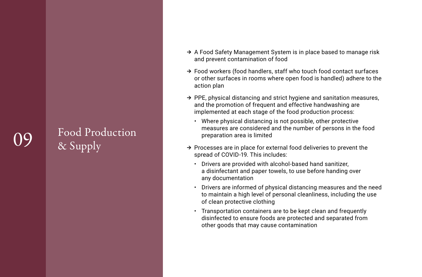### Food Production & Supply

- → A Food Safety Management System is in place based to manage risk and prevent contamination of food
- ➔ Food workers (food handlers, staff who touch food contact surfaces or other surfaces in rooms where open food is handled) adhere to the action plan
- ➔ PPE, physical distancing and strict hygiene and sanitation measures, and the promotion of frequent and effective handwashing are implemented at each stage of the food production process:
	- Where physical distancing is not possible, other protective measures are considered and the number of persons in the food preparation area is limited
- $\rightarrow$  Processes are in place for external food deliveries to prevent the spread of COVID-19. This includes:
	- Drivers are provided with alcohol-based hand sanitizer, a disinfectant and paper towels, to use before handing over any documentation
	- Drivers are informed of physical distancing measures and the need to maintain a high level of personal cleanliness, including the use of clean protective clothing
	- Transportation containers are to be kept clean and frequently disinfected to ensure foods are protected and separated from other goods that may cause contamination